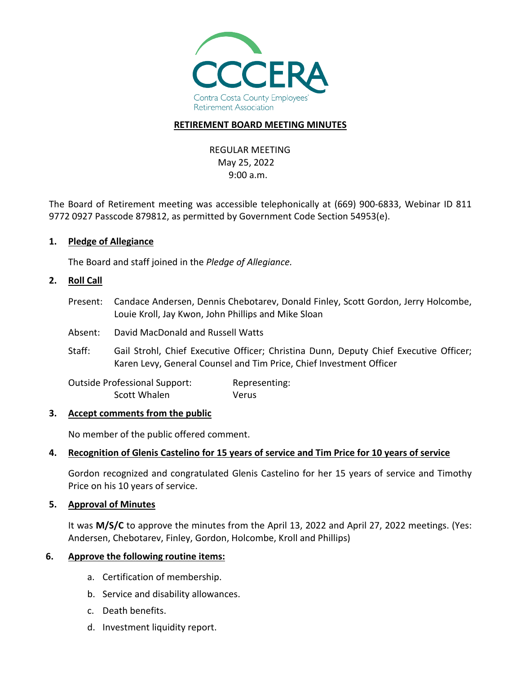

#### **RETIREMENT BOARD MEETING MINUTES**

REGULAR MEETING May 25, 2022 9:00 a.m.

The Board of Retirement meeting was accessible telephonically at (669) 900-6833, Webinar ID 811 9772 0927 Passcode 879812, as permitted by Government Code Section 54953(e).

#### **1. Pledge of Allegiance**

The Board and staff joined in the *Pledge of Allegiance.*

#### **2. Roll Call**

- Present: Candace Andersen, Dennis Chebotarev, Donald Finley, Scott Gordon, Jerry Holcombe, Louie Kroll, Jay Kwon, John Phillips and Mike Sloan
- Absent: David MacDonald and Russell Watts
- Staff: Gail Strohl, Chief Executive Officer; Christina Dunn, Deputy Chief Executive Officer; Karen Levy, General Counsel and Tim Price, Chief Investment Officer

Outside Professional Support: Representing: Scott Whalen Verus

#### **3. Accept comments from the public**

No member of the public offered comment.

#### **4. Recognition of Glenis Castelino for 15 years of service and Tim Price for 10 years of service**

Gordon recognized and congratulated Glenis Castelino for her 15 years of service and Timothy Price on his 10 years of service.

#### **5. Approval of Minutes**

It was **M/S/C** to approve the minutes from the April 13, 2022 and April 27, 2022 meetings. (Yes: Andersen, Chebotarev, Finley, Gordon, Holcombe, Kroll and Phillips)

#### **6. Approve the following routine items:**

- a. Certification of membership.
- b. Service and disability allowances.
- c. Death benefits.
- d. Investment liquidity report.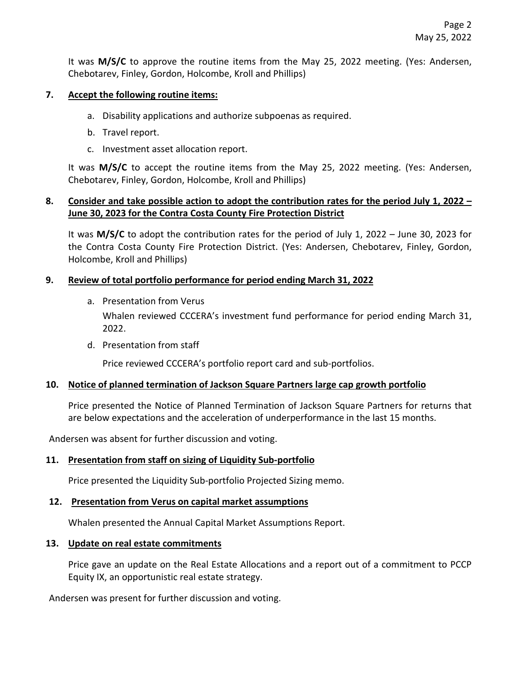It was **M/S/C** to approve the routine items from the May 25, 2022 meeting. (Yes: Andersen, Chebotarev, Finley, Gordon, Holcombe, Kroll and Phillips)

### **7. Accept the following routine items:**

- a. Disability applications and authorize subpoenas as required.
- b. Travel report.
- c. Investment asset allocation report.

It was **M/S/C** to accept the routine items from the May 25, 2022 meeting. (Yes: Andersen, Chebotarev, Finley, Gordon, Holcombe, Kroll and Phillips)

## **8. Consider and take possible action to adopt the contribution rates for the period July 1, 2022 – June 30, 2023 for the Contra Costa County Fire Protection District**

It was **M/S/C** to adopt the contribution rates for the period of July 1, 2022 – June 30, 2023 for the Contra Costa County Fire Protection District. (Yes: Andersen, Chebotarev, Finley, Gordon, Holcombe, Kroll and Phillips)

## **9. Review of total portfolio performance for period ending March 31, 2022**

a. Presentation from Verus

Whalen reviewed CCCERA's investment fund performance for period ending March 31, 2022.

d. Presentation from staff

Price reviewed CCCERA's portfolio report card and sub-portfolios.

#### **10. Notice of planned termination of Jackson Square Partners large cap growth portfolio**

Price presented the Notice of Planned Termination of Jackson Square Partners for returns that are below expectations and the acceleration of underperformance in the last 15 months.

Andersen was absent for further discussion and voting.

#### **11. Presentation from staff on sizing of Liquidity Sub-portfolio**

Price presented the Liquidity Sub-portfolio Projected Sizing memo.

#### **12. Presentation from Verus on capital market assumptions**

Whalen presented the Annual Capital Market Assumptions Report.

#### **13. Update on real estate commitments**

Price gave an update on the Real Estate Allocations and a report out of a commitment to PCCP Equity IX, an opportunistic real estate strategy.

Andersen was present for further discussion and voting.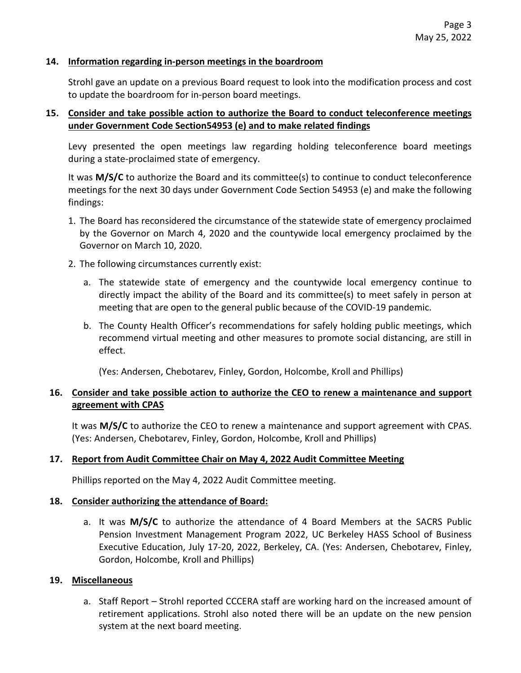#### **14. Information regarding in-person meetings in the boardroom**

Strohl gave an update on a previous Board request to look into the modification process and cost to update the boardroom for in-person board meetings.

### **15. Consider and take possible action to authorize the Board to conduct teleconference meetings under Government Code Section54953 (e) and to make related findings**

Levy presented the open meetings law regarding holding teleconference board meetings during a state-proclaimed state of emergency.

It was **M/S/C** to authorize the Board and its committee(s) to continue to conduct teleconference meetings for the next 30 days under Government Code Section 54953 (e) and make the following findings:

- 1. The Board has reconsidered the circumstance of the statewide state of emergency proclaimed by the Governor on March 4, 2020 and the countywide local emergency proclaimed by the Governor on March 10, 2020.
- 2. The following circumstances currently exist:
	- a. The statewide state of emergency and the countywide local emergency continue to directly impact the ability of the Board and its committee(s) to meet safely in person at meeting that are open to the general public because of the COVID-19 pandemic.
	- b. The County Health Officer's recommendations for safely holding public meetings, which recommend virtual meeting and other measures to promote social distancing, are still in effect.

(Yes: Andersen, Chebotarev, Finley, Gordon, Holcombe, Kroll and Phillips)

# **16. Consider and take possible action to authorize the CEO to renew a maintenance and support agreement with CPAS**

It was **M/S/C** to authorize the CEO to renew a maintenance and support agreement with CPAS. (Yes: Andersen, Chebotarev, Finley, Gordon, Holcombe, Kroll and Phillips)

#### **17. Report from Audit Committee Chair on May 4, 2022 Audit Committee Meeting**

Phillips reported on the May 4, 2022 Audit Committee meeting.

#### **18. Consider authorizing the attendance of Board:**

a. It was **M/S/C** to authorize the attendance of 4 Board Members at the SACRS Public Pension Investment Management Program 2022, UC Berkeley HASS School of Business Executive Education, July 17-20, 2022, Berkeley, CA. (Yes: Andersen, Chebotarev, Finley, Gordon, Holcombe, Kroll and Phillips)

#### **19. Miscellaneous**

a. Staff Report – Strohl reported CCCERA staff are working hard on the increased amount of retirement applications. Strohl also noted there will be an update on the new pension system at the next board meeting.